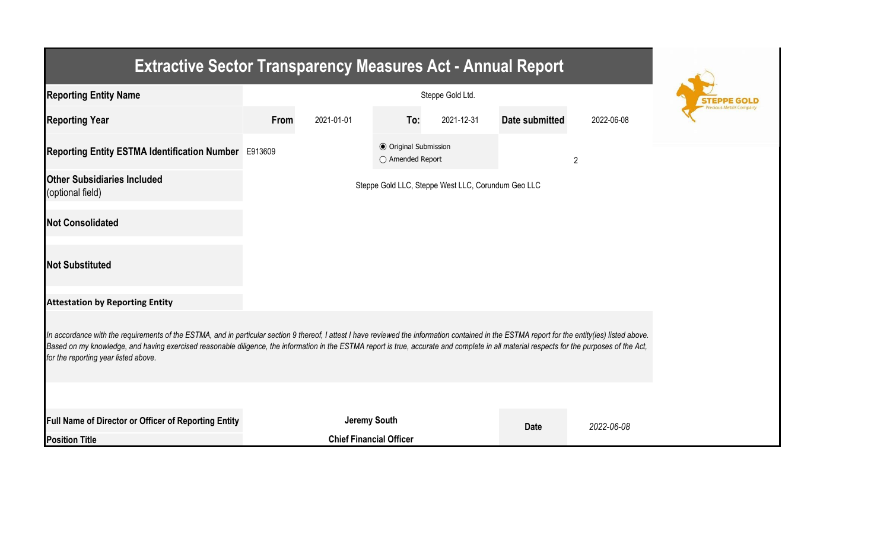| <b>Extractive Sector Transparency Measures Act - Annual Report</b>                                                                                                                                                                                                                                                                                                                                                                    |      |                                |                                                  |            |                |                |  |  |  |  |
|---------------------------------------------------------------------------------------------------------------------------------------------------------------------------------------------------------------------------------------------------------------------------------------------------------------------------------------------------------------------------------------------------------------------------------------|------|--------------------------------|--------------------------------------------------|------------|----------------|----------------|--|--|--|--|
| <b>Reporting Entity Name</b>                                                                                                                                                                                                                                                                                                                                                                                                          |      |                                |                                                  |            |                |                |  |  |  |  |
| <b>Reporting Year</b>                                                                                                                                                                                                                                                                                                                                                                                                                 | From | 2021-01-01                     | To:                                              | 2021-12-31 | Date submitted | 2022-06-08     |  |  |  |  |
| Reporting Entity ESTMA Identification Number E913609                                                                                                                                                                                                                                                                                                                                                                                  |      |                                | <b>⊙</b> Original Submission<br>○ Amended Report |            |                | $\overline{2}$ |  |  |  |  |
| <b>Other Subsidiaries Included</b><br>(optional field)                                                                                                                                                                                                                                                                                                                                                                                |      |                                |                                                  |            |                |                |  |  |  |  |
| <b>Not Consolidated</b>                                                                                                                                                                                                                                                                                                                                                                                                               |      |                                |                                                  |            |                |                |  |  |  |  |
| <b>Not Substituted</b>                                                                                                                                                                                                                                                                                                                                                                                                                |      |                                |                                                  |            |                |                |  |  |  |  |
| <b>Attestation by Reporting Entity</b>                                                                                                                                                                                                                                                                                                                                                                                                |      |                                |                                                  |            |                |                |  |  |  |  |
| In accordance with the requirements of the ESTMA, and in particular section 9 thereof, I attest I have reviewed the information contained in the ESTMA report for the entity(ies) listed above.<br>Based on my knowledge, and having exercised reasonable diligence, the information in the ESTMA report is true, accurate and complete in all material respects for the purposes of the Act,<br>for the reporting year listed above. |      |                                |                                                  |            |                |                |  |  |  |  |
|                                                                                                                                                                                                                                                                                                                                                                                                                                       |      |                                |                                                  |            |                |                |  |  |  |  |
| Full Name of Director or Officer of Reporting Entity                                                                                                                                                                                                                                                                                                                                                                                  |      | <b>Jeremy South</b>            |                                                  |            | <b>Date</b>    | 2022-06-08     |  |  |  |  |
| <b>Position Title</b>                                                                                                                                                                                                                                                                                                                                                                                                                 |      | <b>Chief Financial Officer</b> |                                                  |            |                |                |  |  |  |  |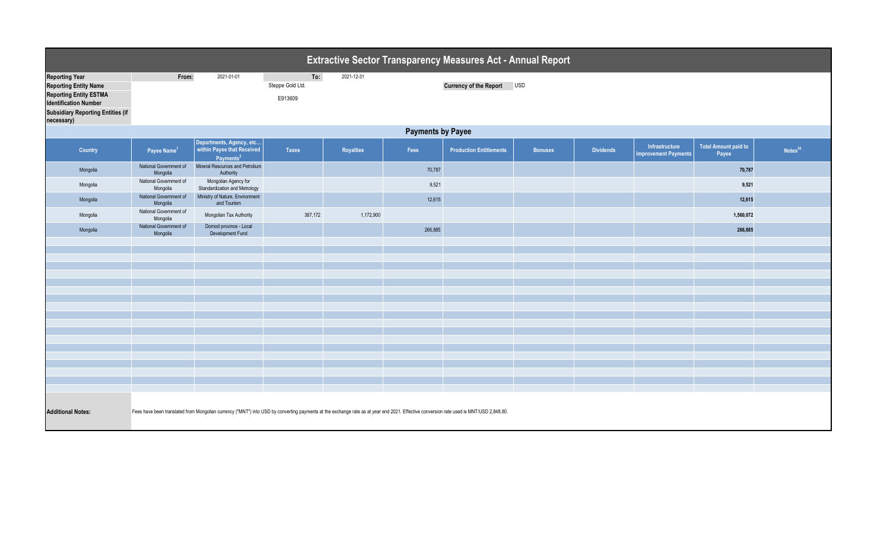| <b>Extractive Sector Transparency Measures Act - Annual Report</b>                                                                                                                                                  |                                    |                                                                                 |                  |                  |         |                                |                |                  |                                               |                                      |                     |  |  |
|---------------------------------------------------------------------------------------------------------------------------------------------------------------------------------------------------------------------|------------------------------------|---------------------------------------------------------------------------------|------------------|------------------|---------|--------------------------------|----------------|------------------|-----------------------------------------------|--------------------------------------|---------------------|--|--|
| <b>Reporting Year</b>                                                                                                                                                                                               | From:                              | 2021-01-01                                                                      | To:              | 2021-12-31       |         |                                |                |                  |                                               |                                      |                     |  |  |
| <b>Reporting Entity Name</b>                                                                                                                                                                                        |                                    |                                                                                 | Steppe Gold Ltd. |                  |         | Currency of the Report USD     |                |                  |                                               |                                      |                     |  |  |
| <b>Reporting Entity ESTMA</b><br><b>Identification Number</b>                                                                                                                                                       |                                    |                                                                                 | E913609          |                  |         |                                |                |                  |                                               |                                      |                     |  |  |
| <b>Subsidiary Reporting Entities (if</b><br>necessary)                                                                                                                                                              |                                    |                                                                                 |                  |                  |         |                                |                |                  |                                               |                                      |                     |  |  |
|                                                                                                                                                                                                                     | <b>Payments by Payee</b>           |                                                                                 |                  |                  |         |                                |                |                  |                                               |                                      |                     |  |  |
| Country                                                                                                                                                                                                             | Payee Name <sup>1</sup>            | Departments, Agency, etc<br>within Payee that Received<br>Payments <sup>2</sup> | <b>Taxes</b>     | <b>Royalties</b> | Fees    | <b>Production Entitlements</b> | <b>Bonuses</b> | <b>Dividends</b> | Infrastructure<br><b>Improvement Payments</b> | <b>Total Amount paid to</b><br>Payee | Notes <sup>34</sup> |  |  |
| Mongolia                                                                                                                                                                                                            | National Government of<br>Mongolia | Mineral Resources and Petrolium<br>Authority                                    |                  |                  | 70,787  |                                |                |                  |                                               | 70,787                               |                     |  |  |
| Mongolia                                                                                                                                                                                                            | National Government of<br>Mongolia | Mongolian Agency for<br>Standardization and Metrology                           |                  |                  | 9,521   |                                |                |                  |                                               | 9,521                                |                     |  |  |
| Mongolia                                                                                                                                                                                                            | National Government of<br>Mongolia | Ministry of Nature, Environment<br>and Tourism                                  |                  |                  | 12,615  |                                |                |                  |                                               | 12,615                               |                     |  |  |
| Mongolia                                                                                                                                                                                                            | National Government of<br>Mongolia | Mongolian Tax Authority                                                         | 387,172          | 1,172,900        |         |                                |                |                  |                                               | 1,560,072                            |                     |  |  |
| Mongolia                                                                                                                                                                                                            | National Government of<br>Mongolia | Dornod province - Local<br>Development Fund                                     |                  |                  | 266,885 |                                |                |                  |                                               | 266,885                              |                     |  |  |
|                                                                                                                                                                                                                     |                                    |                                                                                 |                  |                  |         |                                |                |                  |                                               |                                      |                     |  |  |
|                                                                                                                                                                                                                     |                                    |                                                                                 |                  |                  |         |                                |                |                  |                                               |                                      |                     |  |  |
|                                                                                                                                                                                                                     |                                    |                                                                                 |                  |                  |         |                                |                |                  |                                               |                                      |                     |  |  |
|                                                                                                                                                                                                                     |                                    |                                                                                 |                  |                  |         |                                |                |                  |                                               |                                      |                     |  |  |
|                                                                                                                                                                                                                     |                                    |                                                                                 |                  |                  |         |                                |                |                  |                                               |                                      |                     |  |  |
|                                                                                                                                                                                                                     |                                    |                                                                                 |                  |                  |         |                                |                |                  |                                               |                                      |                     |  |  |
|                                                                                                                                                                                                                     |                                    |                                                                                 |                  |                  |         |                                |                |                  |                                               |                                      |                     |  |  |
|                                                                                                                                                                                                                     |                                    |                                                                                 |                  |                  |         |                                |                |                  |                                               |                                      |                     |  |  |
|                                                                                                                                                                                                                     |                                    |                                                                                 |                  |                  |         |                                |                |                  |                                               |                                      |                     |  |  |
|                                                                                                                                                                                                                     |                                    |                                                                                 |                  |                  |         |                                |                |                  |                                               |                                      |                     |  |  |
|                                                                                                                                                                                                                     |                                    |                                                                                 |                  |                  |         |                                |                |                  |                                               |                                      |                     |  |  |
|                                                                                                                                                                                                                     |                                    |                                                                                 |                  |                  |         |                                |                |                  |                                               |                                      |                     |  |  |
|                                                                                                                                                                                                                     |                                    |                                                                                 |                  |                  |         |                                |                |                  |                                               |                                      |                     |  |  |
|                                                                                                                                                                                                                     |                                    |                                                                                 |                  |                  |         |                                |                |                  |                                               |                                      |                     |  |  |
|                                                                                                                                                                                                                     |                                    |                                                                                 |                  |                  |         |                                |                |                  |                                               |                                      |                     |  |  |
| <b>Additional Notes:</b><br>Fees have been translated from Mongolian currency ("MNT") into USD by converting payments at the exchange rate as at year end 2021. Effective conversion rate used is MNT/USD 2,848.80. |                                    |                                                                                 |                  |                  |         |                                |                |                  |                                               |                                      |                     |  |  |